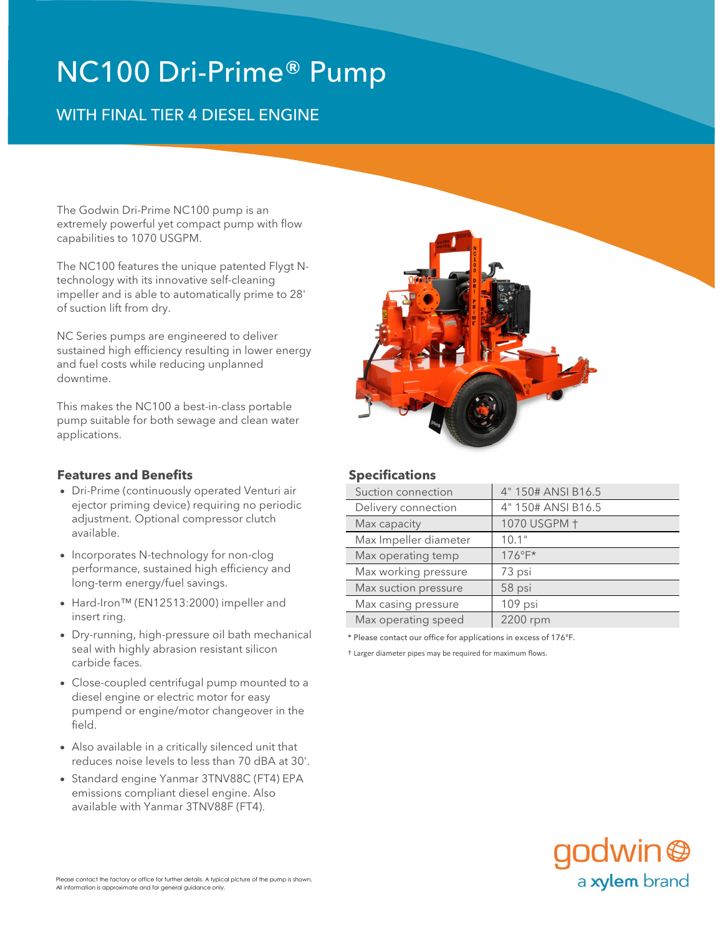# NC100 Dri-Prime® Pump

# WITH FINAL TIER 4 DIESEL ENGINE

The Godwin Dri-Prime NC100 pump is an extremely powerful yet compact pump with flow capabilities to 1070 USGPM.

The NC100 features the unique patented Flygt Ntechnology with its innovative self-cleaning impeller and is able to automatically prime to 28' of suction lift from dry.

NC Series pumps are engineered to deliver sustained high efficiency resulting in lower energy and fuel costs while reducing unplanned downtime.

This makes the NC100 a best-in-class portable pump suitable for both sewage and clean water applications.

### **Features and Benefits Specifications**

- ejector priming device) requiring no periodic adjustment. Optional compressor clutch available.
- Incorporates N-technology for non-clog Max operating temp | 176°F\* performance, sustained high efficiency and long-term energy/fuel savings.
- Max casing pressure 109 psi Hard-Iron™ (EN12513:2000) impeller and insert ring.
- \* Please contact our office for applications in excess of 176°F. Dry-running, high-pressure oil bath mechanical seal with highly abrasion resistant silicon carbide faces.
- Close-coupled centrifugal pump mounted to a diesel engine or electric motor for easy pumpend or engine/motor changeover in the field.
- Also available in a critically silenced unit that reduces noise levels to less than 70 dBA at 30'.
- Standard engine Yanmar 3TNV88C (FT4) EPA emissions compliant diesel engine. Also available with Yanmar 3TNV88F (FT4).



| Suction connection    | 4" 150# ANSI B16.5 |
|-----------------------|--------------------|
| Delivery connection   | 4" 150# ANSI B16.5 |
| Max capacity          | 1070 USGPM +       |
| Max Impeller diameter | 10.1"              |
| Max operating temp    | $176^{\circ}F^*$   |
| Max working pressure  | 73 psi             |
| Max suction pressure  | 58 psi             |
| Max casing pressure   | 109 psi            |
| Max operating speed   | 2200 rpm           |
|                       |                    |

† Larger diameter pipes may be required for maximum flows.